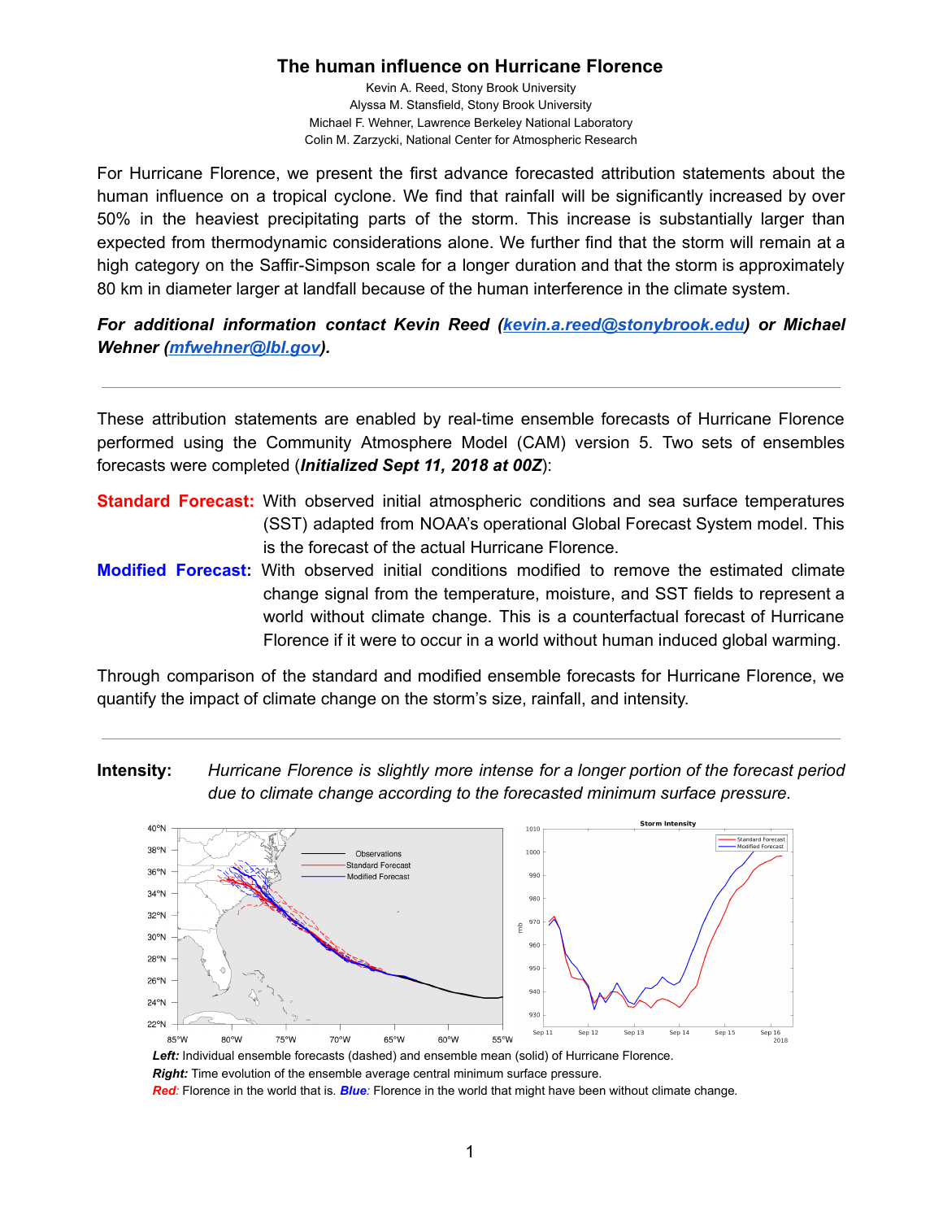## **The human influence on Hurricane Florence**

Kevin A. Reed, Stony Brook University Alyssa M. Stansfield, Stony Brook University Michael F. Wehner, Lawrence Berkeley National Laboratory Colin M. Zarzycki, National Center for Atmospheric Research

For Hurricane Florence, we present the first advance forecasted attribution statements about the human influence on a tropical cyclone. We find that rainfall will be significantly increased by over 50% in the heaviest precipitating parts of the storm. This increase is substantially larger than expected from thermodynamic considerations alone. We further find that the storm will remain at a high category on the Saffir-Simpson scale for a longer duration and that the storm is approximately 80 km in diameter larger at landfall because of the human interference in the climate system.

*For additional information contact Kevin Reed ([kevin.a.reed@stonybrook.edu\)](mailto:kevin.a.reed@stonybrook.edu) or Michael Wehner ([mfwehner@lbl.gov\)](mailto:mfwehner@lbl.gov).*

These attribution statements are enabled by real-time ensemble forecasts of Hurricane Florence performed using the Community Atmosphere Model (CAM) version 5. Two sets of ensembles forecasts were completed (*Initialized Sept 11, 2018 at 00Z*):

- **Standard Forecast:** With observed initial atmospheric conditions and sea surface temperatures (SST) adapted from NOAA's operational Global Forecast System model. This is the forecast of the actual Hurricane Florence.
- **Modified Forecast:** With observed initial conditions modified to remove the estimated climate change signal from the temperature, moisture, and SST fields to represent a world without climate change. This is a counterfactual forecast of Hurricane Florence if it were to occur in a world without human induced global warming.

Through comparison of the standard and modified ensemble forecasts for Hurricane Florence, we quantify the impact of climate change on the storm's size, rainfall, and intensity.





Left: Individual ensemble forecasts (dashed) and ensemble mean (solid) of Hurricane Florence. *Right:* Time evolution of the ensemble average central minimum surface pressure. *Red:* Florence in the world that is*. Blue:* Florence in the world that might have been without climate change*.*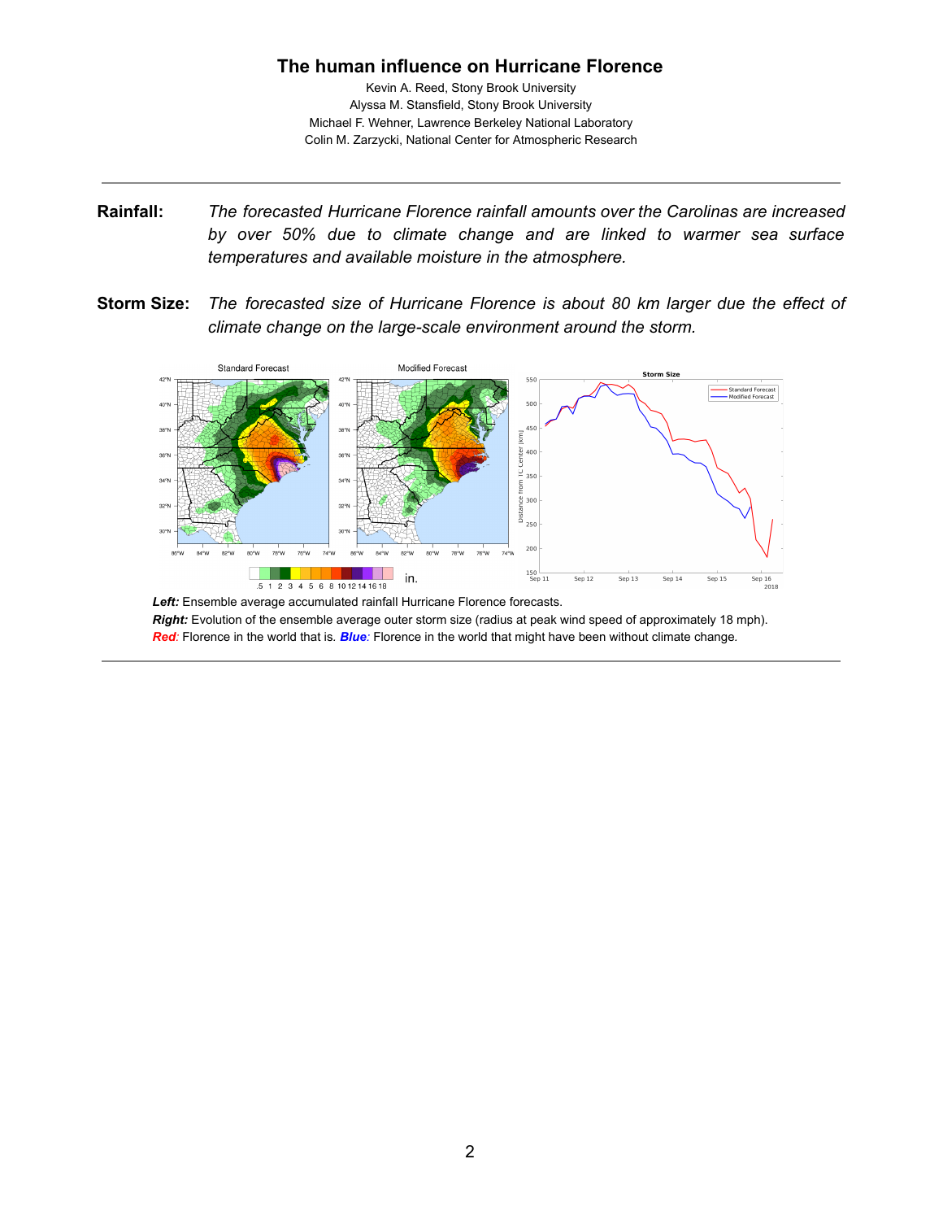## **The human influence on Hurricane Florence**

Kevin A. Reed, Stony Brook University Alyssa M. Stansfield, Stony Brook University Michael F. Wehner, Lawrence Berkeley National Laboratory Colin M. Zarzycki, National Center for Atmospheric Research

- **Rainfall:** *The forecasted Hurricane Florence rainfall amounts over the Carolinas are increased by over 50% due to climate change and are linked to warmer sea surface temperatures and available moisture in the atmosphere.*
- **Storm Size:** *The forecasted size of Hurricane Florence is about 80 km larger due the effect of climate change on the large-scale environment around the storm.*



Left: Ensemble average accumulated rainfall Hurricane Florence forecasts. *Right:* Evolution of the ensemble average outer storm size (radius at peak wind speed of approximately 18 mph). *Red:* Florence in the world that is*. Blue:* Florence in the world that might have been without climate change*.*